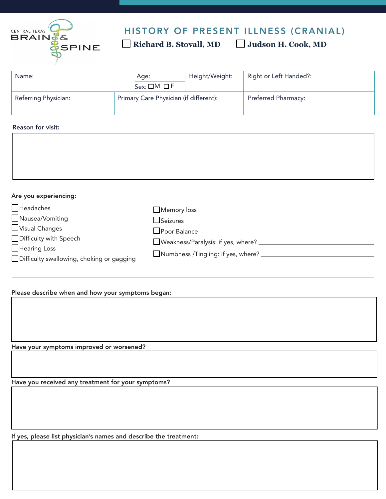

## HISTORY OF PRESENT ILLNESS (CRANIAL)

 **Richard B. Stovall, MD Judson H. Cook, MD** 

| Name:                | Age:<br>$Sex: \Box M \Box F$           | Height/Weight: | Right or Left Handed?:     | $\vert \textcolor{red}{\blacktriangledown} \vert$ |
|----------------------|----------------------------------------|----------------|----------------------------|---------------------------------------------------|
| Referring Physician: | Primary Care Physician (if different): |                | <b>Preferred Pharmacy:</b> |                                                   |

## Reason for visit:

## Are you experiencing:

| $\Box$ Headaches                          | $\Box$ Memory loss                        |
|-------------------------------------------|-------------------------------------------|
| Nausea/Vomiting                           | Seizures                                  |
| Visual Changes                            | $\Box$ Poor Balance                       |
| Difficulty with Speech                    | $\Box$ Weakness/Paralysis: if yes, where? |
| $\Box$ Hearing Loss                       | Numbness /Tingling: if yes, where?        |
| Difficulty swallowing, choking or gagging |                                           |

## Please describe when and how your symptoms began:

Have your symptoms improved or worsened?

Have you received any treatment for your symptoms?

If yes, please list physician's names and describe the treatment: